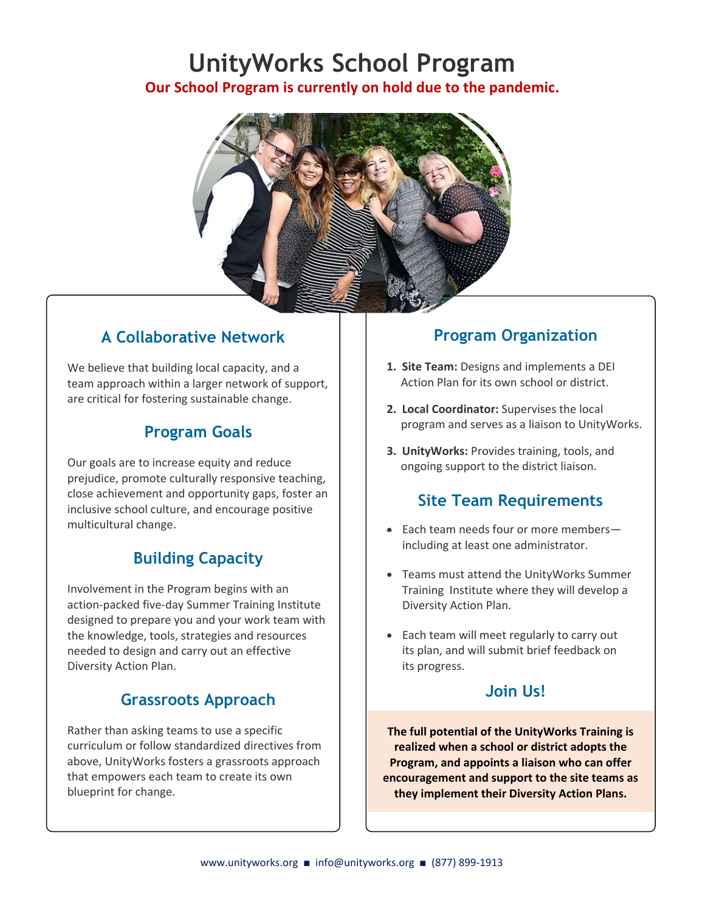# **UnityWorks School Program**

**Our School Program is currently on hold due to the pandemic.** 



## **A Collaborative Network**

We believe that building local capacity, and a team approach within a larger network of support, are critical for fostering sustainable change.

## **Program Goals**

Our goals are to increase equity and reduce prejudice, promote culturally responsive teaching, close achievement and opportunity gaps, foster an inclusive school culture, and encourage positive multicultural change.

# **Building Capacity**

Involvement in the Program begins with an action-packed five-day Summer Training Institute designed to prepare you and your work team with the knowledge, tools, strategies and resources needed to design and carry out an effective Diversity Action Plan.

## **Grassroots Approach**

Rather than asking teams to use a specific curriculum or follow standardized directives from above, UnityWorks fosters a grassroots approach that empowers each team to create its own blueprint for change.

## **Program Organization**

- **1. Site Team:** Designs and implements a DEI Action Plan for its own school or district.
- **2. Local Coordinator:** Supervises the local program and serves as a liaison to UnityWorks.
- **3. UnityWorks:** Provides training, tools, and ongoing support to the district liaison.

## **Site Team Requirements**

- Each team needs four or more members including at least one administrator.
- Teams must attend the UnityWorks Summer Training Institute where they will develop a Diversity Action Plan.
- Each team will meet regularly to carry out its plan, and will submit brief feedback on its progress.

#### **Join Us!**

**The full potential of the UnityWorks Training is realized when a school or district adopts the Program, and appoints a liaison who can offer encouragement and support to the site teams as they implement their Diversity Action Plans.**